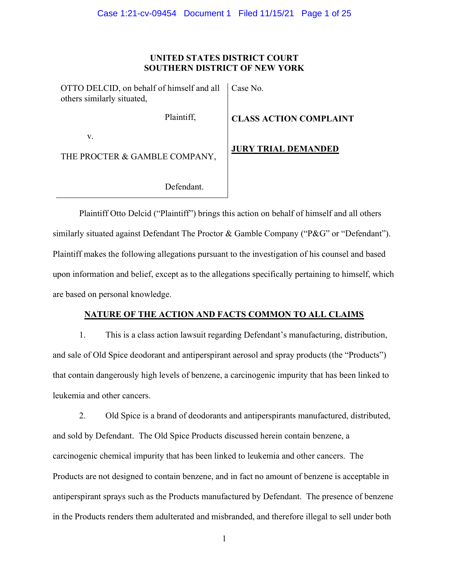## UNITED STATES DISTRICT COURT **SOUTHERN DISTRICT OF NEW YORK**

| OTTO DELCID, on behalf of himself and all   Case No.<br>others similarly situated, |                             |  |  |
|------------------------------------------------------------------------------------|-----------------------------|--|--|
| Plaintiff,                                                                         | <b>CLASS ACTION COMPLAI</b> |  |  |
| V.                                                                                 |                             |  |  |
| THE PROCTER & GAMBLE COMPANY,                                                      | <b>JURY TRIAL DEMANDED</b>  |  |  |

**SS ACTION COMPLAINT** 

Defendant.

Plaintiff Otto Delcid ("Plaintiff") brings this action on behalf of himself and all others similarly situated against Defendant The Proctor & Gamble Company ("P&G" or "Defendant"). Plaintiff makes the following allegations pursuant to the investigation of his counsel and based upon information and belief, except as to the allegations specifically pertaining to himself, which are based on personal knowledge.

# NATURE OF THE ACTION AND FACTS COMMON TO ALL CLAIMS

1. This is a class action lawsuit regarding Defendant's manufacturing, distribution, and sale of Old Spice deodorant and antiperspirant aerosol and spray products (the "Products") that contain dangerously high levels of benzene, a carcinogenic impurity that has been linked to leukemia and other cancers.

2. Old Spice is a brand of deodorants and antiperspirants manufactured, distributed, and sold by Defendant. The Old Spice Products discussed herein contain benzene, a carcinogenic chemical impurity that has been linked to leukemia and other cancers. The Products are not designed to contain benzene, and in fact no amount of benzene is acceptable in antiperspirant sprays such as the Products manufactured by Defendant. The presence of benzene in the Products renders them adulterated and misbranded, and therefore illegal to sell under both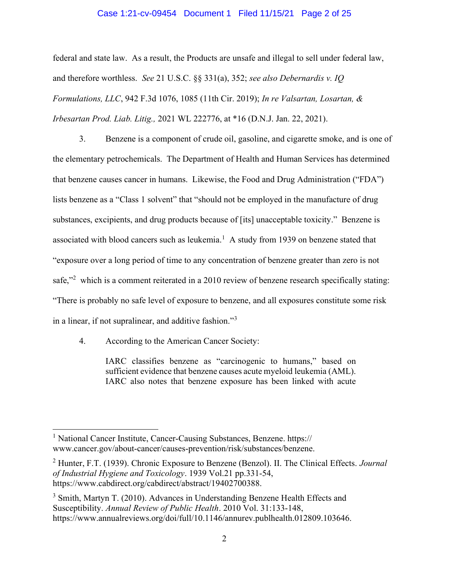#### Case 1:21-cv-09454 Document 1 Filed 11/15/21 Page 2 of 25

federal and state law. As a result, the Products are unsafe and illegal to sell under federal law, and therefore worthless. See 21 U.S.C. §§ 331(a), 352; see also Debernardis v. IQ Formulations, LLC, 942 F.3d 1076, 1085 (11th Cir. 2019); In re Valsartan, Losartan, & Irbesartan Prod. Liab. Litig., 2021 WL 222776, at \*16 (D.N.J. Jan. 22, 2021).

 $3.$ Benzene is a component of crude oil, gasoline, and cigarette smoke, and is one of the elementary petrochemicals. The Department of Health and Human Services has determined that benzene causes cancer in humans. Likewise, the Food and Drug Administration ("FDA") lists benzene as a "Class 1 solvent" that "should not be employed in the manufacture of drug substances, excipients, and drug products because of [its] unacceptable toxicity." Benzene is associated with blood cancers such as leukemia.<sup>1</sup> A study from 1939 on benzene stated that "exposure over a long period of time to any concentration of benzene greater than zero is not safe,"<sup>2</sup> which is a comment reiterated in a 2010 review of benzene research specifically stating: "There is probably no safe level of exposure to benzene, and all exposures constitute some risk in a linear, if not supralinear, and additive fashion."<sup>3</sup>

4. According to the American Cancer Society:

> IARC classifies benzene as "carcinogenic to humans," based on sufficient evidence that benzene causes acute myeloid leukemia (AML). IARC also notes that benzene exposure has been linked with acute

<sup>&</sup>lt;sup>1</sup> National Cancer Institute, Cancer-Causing Substances, Benzene. https:// www.cancer.gov/about-cancer/causes-prevention/risk/substances/benzene.

<sup>&</sup>lt;sup>2</sup> Hunter, F.T. (1939). Chronic Exposure to Benzene (Benzol). II. The Clinical Effects. *Journal* of Industrial Hygiene and Toxicology. 1939 Vol.21 pp.331-54, https://www.cabdirect.org/cabdirect/abstract/19402700388.

<sup>&</sup>lt;sup>3</sup> Smith, Martyn T. (2010). Advances in Understanding Benzene Health Effects and Susceptibility. Annual Review of Public Health. 2010 Vol. 31:133-148, https://www.annualreviews.org/doi/full/10.1146/annurev.publhealth.012809.103646.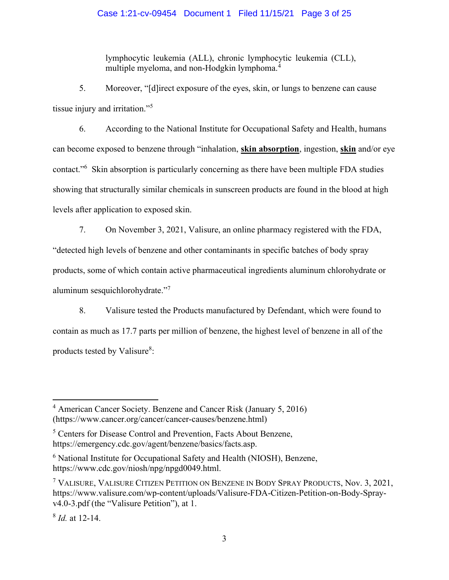lymphocytic leukemia (ALL), chronic lymphocytic leukemia (CLL), multiple myeloma, and non-Hodgkin lymphoma.<sup>4</sup>

5. Moreover, "[d]irect exposure of the eyes, skin, or lungs to benzene can cause tissue injury and irritation."<sup>5</sup>

6. According to the National Institute for Occupational Safety and Health, humans can become exposed to benzene through "inhalation, skin absorption, ingestion, skin and/or eye contact."<sup>6</sup> Skin absorption is particularly concerning as there have been multiple FDA studies showing that structurally similar chemicals in sunscreen products are found in the blood at high levels after application to exposed skin.

7. On November 3, 2021, Valisure, an online pharmacy registered with the FDA, "detected high levels of benzene and other contaminants in specific batches of body spray products, some of which contain active pharmaceutical ingredients aluminum chlorohydrate or aluminum sesquichlorohydrate."<sup>7</sup>

8. Valisure tested the Products manufactured by Defendant, which were found to contain as much as 17.7 parts per million of benzene, the highest level of benzene in all of the products tested by Valisure<sup>8</sup>:

<sup>&</sup>lt;sup>4</sup> American Cancer Society. Benzene and Cancer Risk (January 5, 2016) (https://www.cancer.org/cancer/cancer-causes/benzene.html)

<sup>&</sup>lt;sup>5</sup> Centers for Disease Control and Prevention, Facts About Benzene, https://emergency.cdc.gov/agent/benzene/basics/facts.asp.

<sup>&</sup>lt;sup>6</sup> National Institute for Occupational Safety and Health (NIOSH), Benzene, https://www.cdc.gov/niosh/npg/npgd0049.html.

<sup>&</sup>lt;sup>7</sup> VALISURE, VALISURE CITIZEN PETITION ON BENZENE IN BODY SPRAY PRODUCTS, Nov. 3, 2021, https://www.valisure.com/wp-content/uploads/Valisure-FDA-Citizen-Petition-on-Body-Sprayv4.0-3.pdf (the "Valisure Petition"), at 1.

 $8$  *Id.* at 12-14.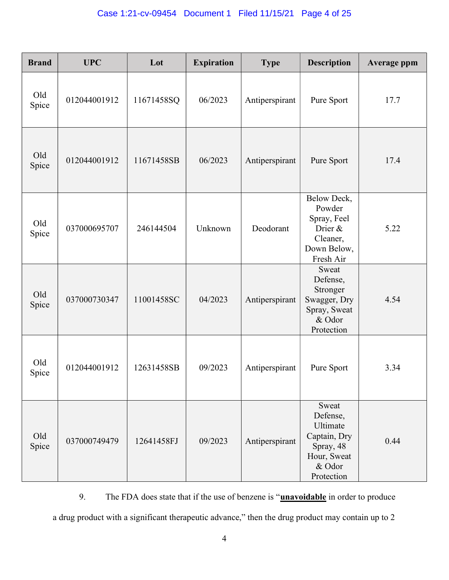| <b>Brand</b> | <b>UPC</b>   | Lot        | <b>Expiration</b> | <b>Type</b>    | <b>Description</b>                                                                                | <b>Average ppm</b> |
|--------------|--------------|------------|-------------------|----------------|---------------------------------------------------------------------------------------------------|--------------------|
| Old<br>Spice | 012044001912 | 11671458SQ | 06/2023           | Antiperspirant | Pure Sport                                                                                        | 17.7               |
| Old<br>Spice | 012044001912 | 11671458SB | 06/2023           | Antiperspirant | Pure Sport                                                                                        | 17.4               |
| Old<br>Spice | 037000695707 | 246144504  | Unknown           | Deodorant      | Below Deck,<br>Powder<br>Spray, Feel<br>Drier &<br>Cleaner,<br>Down Below,<br>Fresh Air           | 5.22               |
| Old<br>Spice | 037000730347 | 11001458SC | 04/2023           | Antiperspirant | Sweat<br>Defense,<br>Stronger<br>Swagger, Dry<br>Spray, Sweat<br>& Odor<br>Protection             | 4.54               |
| Old<br>Spice | 012044001912 | 12631458SB | 09/2023           | Antiperspirant | Pure Sport                                                                                        | 3.34               |
| Old<br>Spice | 037000749479 | 12641458FJ | 09/2023           | Antiperspirant | Sweat<br>Defense,<br>Ultimate<br>Captain, Dry<br>Spray, 48<br>Hour, Sweat<br>& Odor<br>Protection | 0.44               |

9. The FDA does state that if the use of benzene is "**unavoidable** in order to produce a drug product with a significant therapeutic advance," then the drug product may contain up to 2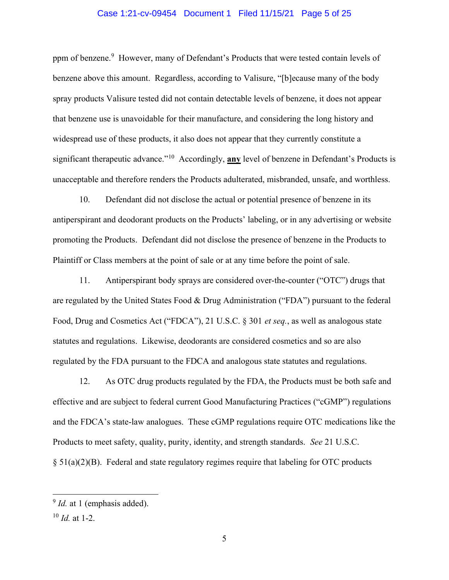#### Case 1:21-cv-09454 Document 1 Filed 11/15/21 Page 5 of 25

ppm of benzene.<sup>9</sup> However, many of Defendant's Products that were tested contain levels of benzene above this amount. Regardless, according to Valisure, "[b] ecause many of the body spray products Valisure tested did not contain detectable levels of benzene, it does not appear that benzene use is unavoidable for their manufacture, and considering the long history and widespread use of these products, it also does not appear that they currently constitute a significant therapeutic advance."<sup>10</sup> Accordingly, any level of benzene in Defendant's Products is unacceptable and therefore renders the Products adulterated, misbranded, unsafe, and worthless.

 $10.$ Defendant did not disclose the actual or potential presence of benzene in its antiperspirant and deodorant products on the Products' labeling, or in any advertising or website promoting the Products. Defendant did not disclose the presence of benzene in the Products to Plaintiff or Class members at the point of sale or at any time before the point of sale.

11. Antiperspirant body sprays are considered over-the-counter ("OTC") drugs that are regulated by the United States Food & Drug Administration ("FDA") pursuant to the federal Food, Drug and Cosmetics Act ("FDCA"), 21 U.S.C. § 301 et seq., as well as analogous state statutes and regulations. Likewise, deodorants are considered cosmetics and so are also regulated by the FDA pursuant to the FDCA and analogous state statures and regulations.

12. As OTC drug products regulated by the FDA, the Products must be both safe and effective and are subject to federal current Good Manufacturing Practices ("cGMP") regulations and the FDCA's state-law analogues. These cGMP regulations require OTC medications like the Products to meet safety, quality, purity, identity, and strength standards. See 21 U.S.C.  $\S 51(a)(2)(B)$ . Federal and state regulatory regimes require that labeling for OTC products

 $9$  *Id.* at 1 (emphasis added).

 $10$  *Id.* at 1-2.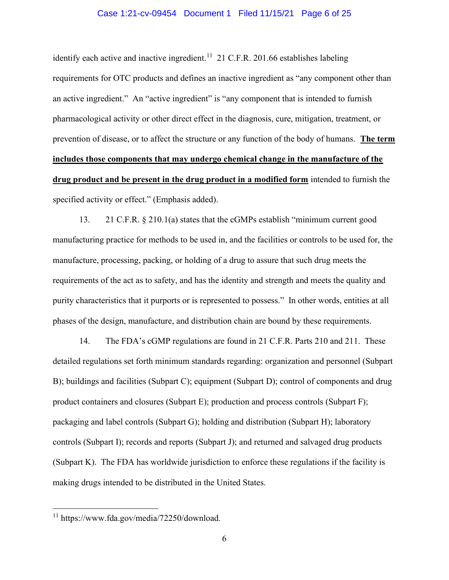#### Case 1:21-cv-09454 Document 1 Filed 11/15/21 Page 6 of 25

identify each active and inactive ingredient.<sup>11</sup> 21 C.F.R. 201.66 establishes labeling requirements for OTC products and defines an inactive ingredient as "any component other than an active ingredient." An "active ingredient" is "any component that is intended to furnish pharmacological activity or other direct effect in the diagnosis, cure, mitigation, treatment, or prevention of disease, or to affect the structure or any function of the body of humans. The term includes those components that may undergo chemical change in the manufacture of the drug product and be present in the drug product in a modified form intended to furnish the specified activity or effect." (Emphasis added).

13. 21 C.F.R. § 210.1(a) states that the cGMPs establish "minimum current good manufacturing practice for methods to be used in, and the facilities or controls to be used for, the manufacture, processing, packing, or holding of a drug to assure that such drug meets the requirements of the act as to safety, and has the identity and strength and meets the quality and purity characteristics that it purports or is represented to possess." In other words, entities at all phases of the design, manufacture, and distribution chain are bound by these requirements.

14. The FDA's cGMP regulations are found in 21 C.F.R. Parts 210 and 211. These detailed regulations set forth minimum standards regarding: organization and personnel (Subpart B); buildings and facilities (Subpart C); equipment (Subpart D); control of components and drug product containers and closures (Subpart E); production and process controls (Subpart F); packaging and label controls (Subpart G); holding and distribution (Subpart H); laboratory controls (Subpart I); records and reports (Subpart J); and returned and salvaged drug products (Subpart K). The FDA has worldwide jurisdiction to enforce these regulations if the facility is making drugs intended to be distributed in the United States.

<sup>&</sup>lt;sup>11</sup> https://www.fda.gov/media/72250/download.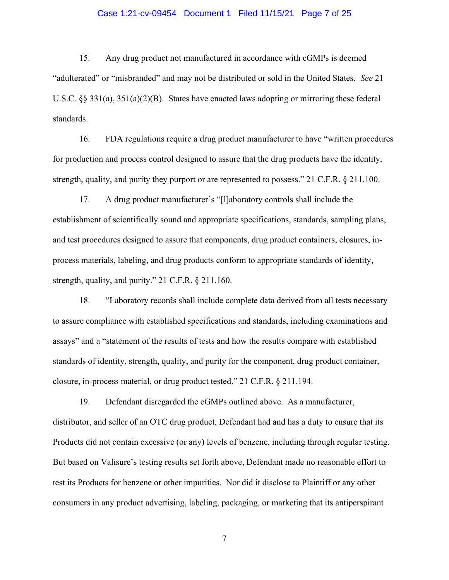#### Case 1:21-cv-09454 Document 1 Filed 11/15/21 Page 7 of 25

15. Any drug product not manufactured in accordance with cGMPs is deemed "adulterated" or "misbranded" and may not be distributed or sold in the United States. See 21 U.S.C.  $\S$  331(a), 351(a)(2)(B). States have enacted laws adopting or mirroring these federal standards.

16. FDA regulations require a drug product manufacturer to have "written procedures" for production and process control designed to assure that the drug products have the identity, strength, quality, and purity they purport or are represented to possess." 21 C.F.R.  $\S$  211.100.

17. A drug product manufacturer's "[I]aboratory controls shall include the establishment of scientifically sound and appropriate specifications, standards, sampling plans, and test procedures designed to assure that components, drug product containers, closures, inprocess materials, labeling, and drug products conform to appropriate standards of identity, strength, quality, and purity."  $21$  C.F.R. § 211.160.

18. "Laboratory records shall include complete data derived from all tests necessary to assure compliance with established specifications and standards, including examinations and assays" and a "statement of the results of tests and how the results compare with established standards of identity, strength, quality, and purity for the component, drug product container, closure, in-process material, or drug product tested." 21 C.F.R. § 211.194.

19. Defendant disregarded the cGMPs outlined above. As a manufacturer, distributor, and seller of an OTC drug product, Defendant had and has a duty to ensure that its Products did not contain excessive (or any) levels of benzene, including through regular testing. But based on Valisure's testing results set forth above, Defendant made no reasonable effort to test its Products for benzene or other impurities. Nor did it disclose to Plaintiff or any other consumers in any product advertising, labeling, packaging, or marketing that its antiperspirant

 $\tau$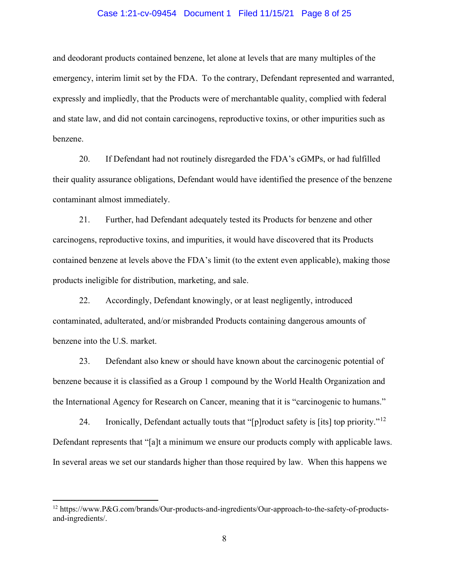#### Case 1:21-cv-09454 Document 1 Filed 11/15/21 Page 8 of 25

and deodorant products contained benzene, let alone at levels that are many multiples of the emergency, interim limit set by the FDA. To the contrary, Defendant represented and warranted, expressly and impliedly, that the Products were of merchantable quality, complied with federal and state law, and did not contain carcinogens, reproductive toxins, or other impurities such as benzene.

20. If Defendant had not routinely disregarded the FDA's cGMPs, or had fulfilled their quality assurance obligations, Defendant would have identified the presence of the benzene contaminant almost immediately.

21. Further, had Defendant adequately tested its Products for benzene and other carcinogens, reproductive toxins, and impurities, it would have discovered that its Products contained benzene at levels above the FDA's limit (to the extent even applicable), making those products ineligible for distribution, marketing, and sale.

22. Accordingly, Defendant knowingly, or at least negligently, introduced contaminated, adulterated, and/or misbranded Products containing dangerous amounts of benzene into the U.S. market.

23. Defendant also knew or should have known about the carcinogenic potential of benzene because it is classified as a Group 1 compound by the World Health Organization and the International Agency for Research on Cancer, meaning that it is "carcinogenic to humans."

24. Ironically, Defendant actually touts that "[p] roduct safety is [its] top priority."<sup>12</sup> Defendant represents that "[a]t a minimum we ensure our products comply with applicable laws. In several areas we set our standards higher than those required by law. When this happens we

<sup>&</sup>lt;sup>12</sup> https://www.P&G.com/brands/Our-products-and-ingredients/Our-approach-to-the-safety-of-productsand-ingredients/.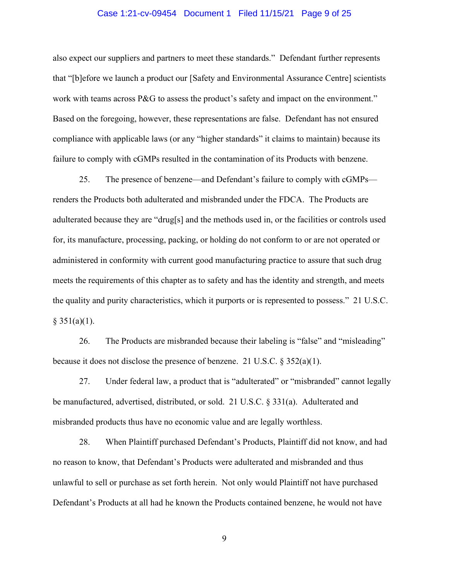#### Case 1:21-cv-09454 Document 1 Filed 11/15/21 Page 9 of 25

also expect our suppliers and partners to meet these standards." Defendant further represents that "[b]efore we launch a product our [Safety and Environmental Assurance Centre] scientists work with teams across P&G to assess the product's safety and impact on the environment." Based on the foregoing, however, these representations are false. Defendant has not ensured compliance with applicable laws (or any "higher standards" it claims to maintain) because its failure to comply with cGMPs resulted in the contamination of its Products with benzene.

25. The presence of benzene—and Defendant's failure to comply with cGMPs renders the Products both adulterated and misbranded under the FDCA. The Products are adulterated because they are "drug[s] and the methods used in, or the facilities or controls used for, its manufacture, processing, packing, or holding do not conform to or are not operated or administered in conformity with current good manufacturing practice to assure that such drug meets the requirements of this chapter as to safety and has the identity and strength, and meets the quality and purity characteristics, which it purports or is represented to possess." 21 U.S.C.  $§ 351(a)(1).$ 

26. The Products are misbranded because their labeling is "false" and "misleading" because it does not disclose the presence of benzene. 21 U.S.C.  $\S 352(a)(1)$ .

27. Under federal law, a product that is "adulterated" or "misbranded" cannot legally be manufactured, advertised, distributed, or sold. 21 U.S.C. § 331(a). Adulterated and misbranded products thus have no economic value and are legally worthless.

28. When Plaintiff purchased Defendant's Products, Plaintiff did not know, and had no reason to know, that Defendant's Products were adulterated and misbranded and thus unlawful to sell or purchase as set forth herein. Not only would Plaintiff not have purchased Defendant's Products at all had he known the Products contained benzene, he would not have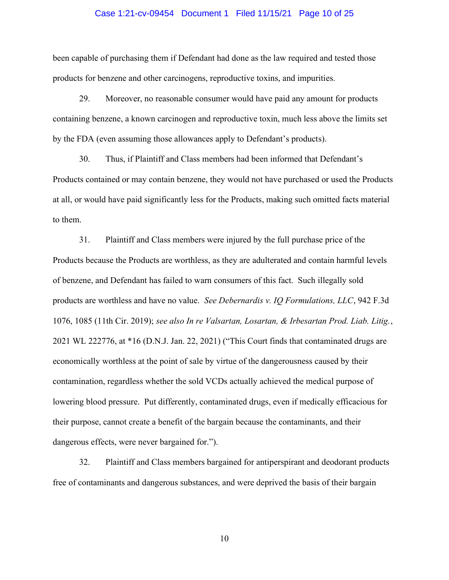#### Case 1:21-cv-09454 Document 1 Filed 11/15/21 Page 10 of 25

been capable of purchasing them if Defendant had done as the law required and tested those products for benzene and other carcinogens, reproductive toxins, and impurities.

29. Moreover, no reasonable consumer would have paid any amount for products containing benzene, a known carcinogen and reproductive toxin, much less above the limits set by the FDA (even assuming those allowances apply to Defendant's products).

30. Thus, if Plaintiff and Class members had been informed that Defendant's Products contained or may contain benzene, they would not have purchased or used the Products at all, or would have paid significantly less for the Products, making such omitted facts material to them.

Plaintiff and Class members were injured by the full purchase price of the 31. Products because the Products are worthless, as they are adulterated and contain harmful levels of benzene, and Defendant has failed to warn consumers of this fact. Such illegally sold products are worthless and have no value. See Debernardis v. IQ Formulations, LLC, 942 F.3d 1076, 1085 (11th Cir. 2019); see also In re Valsartan, Losartan, & Irbesartan Prod. Liab. Litig., 2021 WL 222776, at \*16 (D.N.J. Jan. 22, 2021) ("This Court finds that contaminated drugs are economically worthless at the point of sale by virtue of the dangerousness caused by their contamination, regardless whether the sold VCDs actually achieved the medical purpose of lowering blood pressure. Put differently, contaminated drugs, even if medically efficacious for their purpose, cannot create a benefit of the bargain because the contaminants, and their dangerous effects, were never bargained for.").

32. Plaintiff and Class members bargained for antiperspirant and deodorant products free of contaminants and dangerous substances, and were deprived the basis of their bargain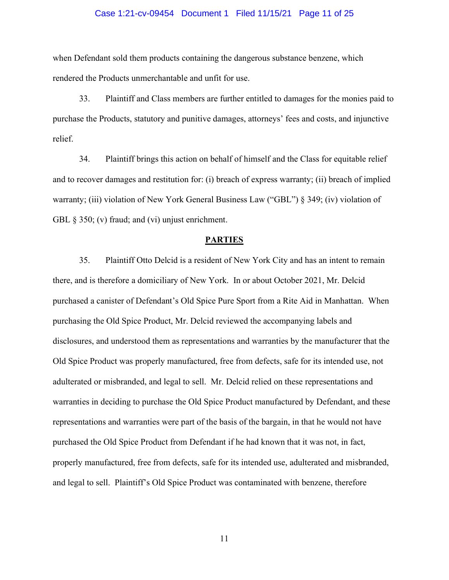#### Case 1:21-cv-09454 Document 1 Filed 11/15/21 Page 11 of 25

when Defendant sold them products containing the dangerous substance benzene, which rendered the Products unmerchantable and unfit for use.

33. Plaintiff and Class members are further entitled to damages for the monies paid to purchase the Products, statutory and punitive damages, attorneys' fees and costs, and injunctive relief.

34. Plaintiff brings this action on behalf of himself and the Class for equitable relief and to recover damages and restitution for: (i) breach of express warranty; (ii) breach of implied warranty; (iii) violation of New York General Business Law ("GBL") § 349; (iv) violation of GBL  $\S$  350; (v) fraud; and (vi) unjust enrichment.

#### **PARTIES**

35. Plaintiff Otto Delcid is a resident of New York City and has an intent to remain there, and is therefore a domiciliary of New York. In or about October 2021, Mr. Delcid purchased a canister of Defendant's Old Spice Pure Sport from a Rite Aid in Manhattan. When purchasing the Old Spice Product, Mr. Delcid reviewed the accompanying labels and disclosures, and understood them as representations and warranties by the manufacturer that the Old Spice Product was properly manufactured, free from defects, safe for its intended use, not adulterated or misbranded, and legal to sell. Mr. Delcid relied on these representations and warranties in deciding to purchase the Old Spice Product manufactured by Defendant, and these representations and warranties were part of the basis of the bargain, in that he would not have purchased the Old Spice Product from Defendant if he had known that it was not, in fact, properly manufactured, free from defects, safe for its intended use, adulterated and misbranded, and legal to sell. Plaintiff's Old Spice Product was contaminated with benzene, therefore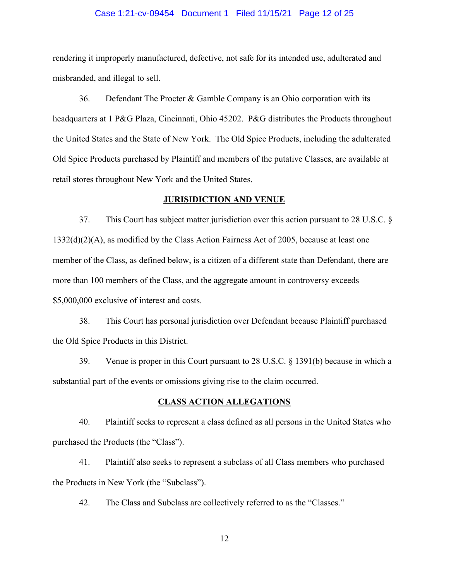#### Case 1:21-cv-09454 Document 1 Filed 11/15/21 Page 12 of 25

rendering it improperly manufactured, defective, not safe for its intended use, adulterated and misbranded, and illegal to sell.

36. Defendant The Procter & Gamble Company is an Ohio corporation with its headquarters at 1 P&G Plaza, Cincinnati, Ohio 45202. P&G distributes the Products throughout the United States and the State of New York. The Old Spice Products, including the adulterated Old Spice Products purchased by Plaintiff and members of the putative Classes, are available at retail stores throughout New York and the United States.

#### **JURISIDICTION AND VENUE**

37. This Court has subject matter jurisdiction over this action pursuant to 28 U.S.C.  $\S$  $1332(d)(2)(A)$ , as modified by the Class Action Fairness Act of 2005, because at least one member of the Class, as defined below, is a citizen of a different state than Defendant, there are more than 100 members of the Class, and the aggregate amount in controversy exceeds \$5,000,000 exclusive of interest and costs.

38. This Court has personal jurisdiction over Defendant because Plaintiff purchased the Old Spice Products in this District.

Venue is proper in this Court pursuant to 28 U.S.C. § 1391(b) because in which a 39. substantial part of the events or omissions giving rise to the claim occurred.

#### **CLASS ACTION ALLEGATIONS**

40. Plaintiff seeks to represent a class defined as all persons in the United States who purchased the Products (the "Class").

Plaintiff also seeks to represent a subclass of all Class members who purchased 41. the Products in New York (the "Subclass").

42. The Class and Subclass are collectively referred to as the "Classes."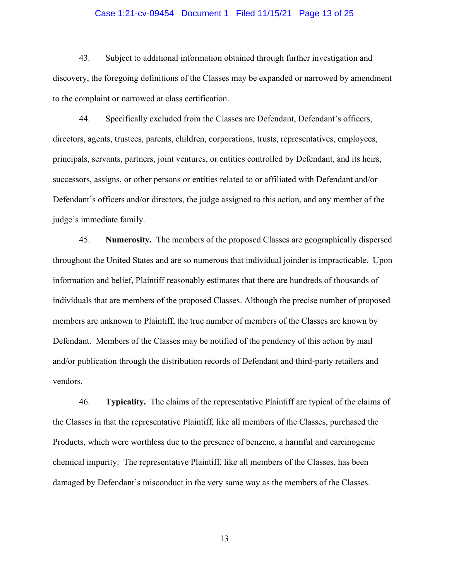#### Case 1:21-cv-09454 Document 1 Filed 11/15/21 Page 13 of 25

43. Subject to additional information obtained through further investigation and discovery, the foregoing definitions of the Classes may be expanded or narrowed by amendment to the complaint or narrowed at class certification.

44. Specifically excluded from the Classes are Defendant, Defendant's officers, directors, agents, trustees, parents, children, corporations, trusts, representatives, employees, principals, servants, partners, joint ventures, or entities controlled by Defendant, and its heirs, successors, assigns, or other persons or entities related to or affiliated with Defendant and/or Defendant's officers and/or directors, the judge assigned to this action, and any member of the judge's immediate family.

45. **Numerosity.** The members of the proposed Classes are geographically dispersed throughout the United States and are so numerous that individual joinder is impracticable. Upon information and belief, Plaintiff reasonably estimates that there are hundreds of thousands of individuals that are members of the proposed Classes. Although the precise number of proposed members are unknown to Plaintiff, the true number of members of the Classes are known by Defendant. Members of the Classes may be notified of the pendency of this action by mail and/or publication through the distribution records of Defendant and third-party retailers and vendors.

46. Typicality. The claims of the representative Plaintiff are typical of the claims of the Classes in that the representative Plaintiff, like all members of the Classes, purchased the Products, which were worthless due to the presence of benzene, a harmful and carcinogenic chemical impurity. The representative Plaintiff, like all members of the Classes, has been damaged by Defendant's misconduct in the very same way as the members of the Classes.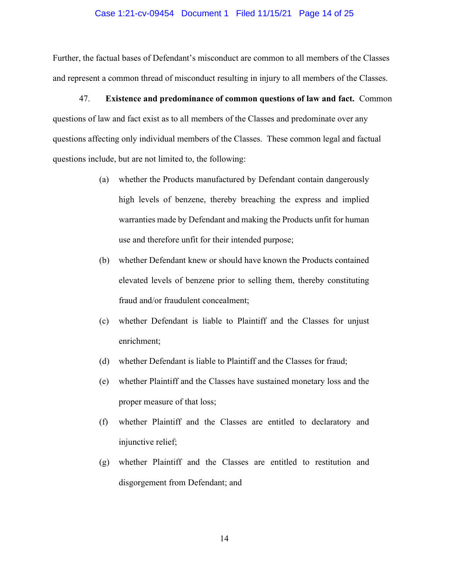#### Case 1:21-cv-09454 Document 1 Filed 11/15/21 Page 14 of 25

Further, the factual bases of Defendant's misconduct are common to all members of the Classes and represent a common thread of misconduct resulting in injury to all members of the Classes.

47. Existence and predominance of common questions of law and fact. Common questions of law and fact exist as to all members of the Classes and predominate over any questions affecting only individual members of the Classes. These common legal and factual questions include, but are not limited to, the following:

- whether the Products manufactured by Defendant contain dangerously  $(a)$ high levels of benzene, thereby breaching the express and implied warranties made by Defendant and making the Products unfit for human use and therefore unfit for their intended purpose;
- (b) whether Defendant knew or should have known the Products contained elevated levels of benzene prior to selling them, thereby constituting fraud and/or fraudulent concealment;
- whether Defendant is liable to Plaintiff and the Classes for unjust  $(c)$ enrichment;
- whether Defendant is liable to Plaintiff and the Classes for fraud;  $(d)$
- $(e)$ whether Plaintiff and the Classes have sustained monetary loss and the proper measure of that loss;
- whether Plaintiff and the Classes are entitled to declaratory and  $(f)$ injunctive relief;
- (g) whether Plaintiff and the Classes are entitled to restitution and disgorgement from Defendant; and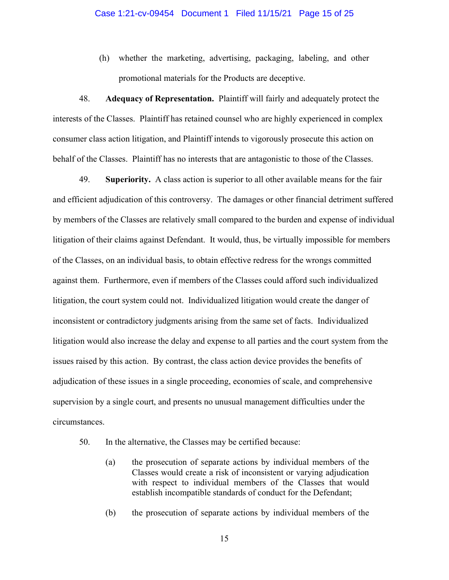(h) whether the marketing, advertising, packaging, labeling, and other promotional materials for the Products are deceptive.

48. Adequacy of Representation. Plaintiff will fairly and adequately protect the interests of the Classes. Plaintiff has retained counsel who are highly experienced in complex consumer class action litigation, and Plaintiff intends to vigorously prosecute this action on behalf of the Classes. Plaintiff has no interests that are antagonistic to those of the Classes.

49. **Superiority.** A class action is superior to all other available means for the fair and efficient adjudication of this controversy. The damages or other financial detriment suffered by members of the Classes are relatively small compared to the burden and expense of individual litigation of their claims against Defendant. It would, thus, be virtually impossible for members of the Classes, on an individual basis, to obtain effective redress for the wrongs committed against them. Furthermore, even if members of the Classes could afford such individualized litigation, the court system could not. Individualized litigation would create the danger of inconsistent or contradictory judgments arising from the same set of facts. Individualized litigation would also increase the delay and expense to all parties and the court system from the issues raised by this action. By contrast, the class action device provides the benefits of adjudication of these issues in a single proceeding, economies of scale, and comprehensive supervision by a single court, and presents no unusual management difficulties under the circumstances.

- 50. In the alternative, the Classes may be certified because:
	- the prosecution of separate actions by individual members of the  $(a)$ Classes would create a risk of inconsistent or varying adjudication with respect to individual members of the Classes that would establish incompatible standards of conduct for the Defendant;
	- $(b)$ the prosecution of separate actions by individual members of the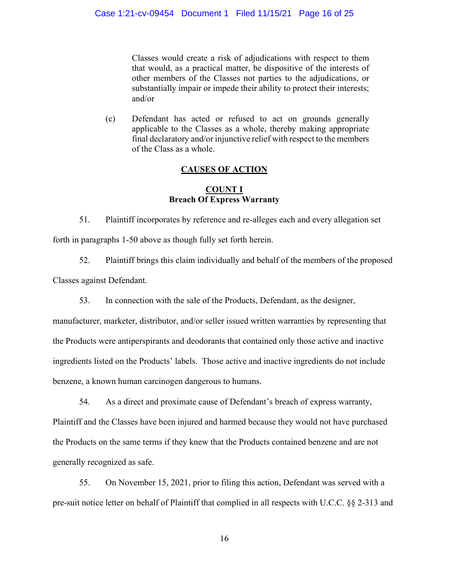Classes would create a risk of adjudications with respect to them that would, as a practical matter, be dispositive of the interests of other members of the Classes not parties to the adjudications, or substantially impair or impede their ability to protect their interests; and/or

Defendant has acted or refused to act on grounds generally  $(c)$ applicable to the Classes as a whole, thereby making appropriate final declaratory and/or injunctive relief with respect to the members of the Class as a whole.

# **CAUSES OF ACTION**

## **COUNT I Breach Of Express Warranty**

51. Plaintiff incorporates by reference and re-alleges each and every allegation set forth in paragraphs 1-50 above as though fully set forth herein.

52. Plaintiff brings this claim individually and behalf of the members of the proposed

Classes against Defendant.

53. In connection with the sale of the Products, Defendant, as the designer,

manufacturer, marketer, distributor, and/or seller issued written warranties by representing that the Products were antiperspirants and deodorants that contained only those active and inactive ingredients listed on the Products' labels. Those active and inactive ingredients do not include benzene, a known human carcinogen dangerous to humans.

54. As a direct and proximate cause of Defendant's breach of express warranty,

Plaintiff and the Classes have been injured and harmed because they would not have purchased the Products on the same terms if they knew that the Products contained benzene and are not generally recognized as safe.

55. On November 15, 2021, prior to filing this action, Defendant was served with a pre-suit notice letter on behalf of Plaintiff that complied in all respects with U.C.C. §§ 2-313 and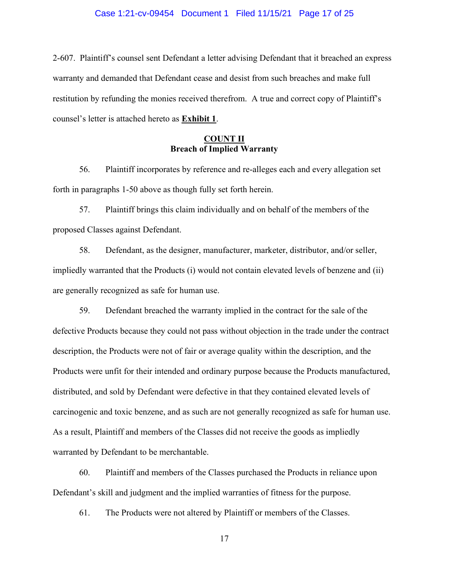#### Case 1:21-cv-09454 Document 1 Filed 11/15/21 Page 17 of 25

2-607. Plaintiff's counsel sent Defendant a letter advising Defendant that it breached an express warranty and demanded that Defendant cease and desist from such breaches and make full restitution by refunding the monies received therefrom. A true and correct copy of Plaintiff's counsel's letter is attached hereto as Exhibit 1.

## <u>COUNT II</u> **Breach of Implied Warranty**

56. Plaintiff incorporates by reference and re-alleges each and every allegation set forth in paragraphs 1-50 above as though fully set forth herein.

57. Plaintiff brings this claim individually and on behalf of the members of the proposed Classes against Defendant.

58. Defendant, as the designer, manufacturer, marketer, distributor, and/or seller, impliedly warranted that the Products (i) would not contain elevated levels of benzene and (ii) are generally recognized as safe for human use.

59. Defendant breached the warranty implied in the contract for the sale of the defective Products because they could not pass without objection in the trade under the contract description, the Products were not of fair or average quality within the description, and the Products were unfit for their intended and ordinary purpose because the Products manufactured, distributed, and sold by Defendant were defective in that they contained elevated levels of carcinogenic and toxic benzene, and as such are not generally recognized as safe for human use. As a result, Plaintiff and members of the Classes did not receive the goods as impliedly warranted by Defendant to be merchantable.

60. Plaintiff and members of the Classes purchased the Products in reliance upon Defendant's skill and judgment and the implied warranties of fitness for the purpose.

61. The Products were not altered by Plaintiff or members of the Classes.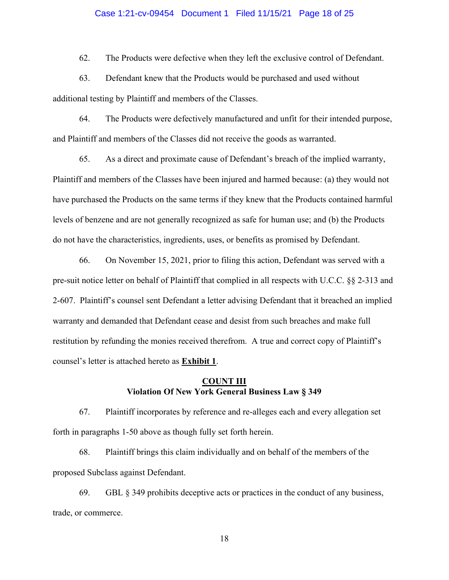#### Case 1:21-cv-09454 Document 1 Filed 11/15/21 Page 18 of 25

62. The Products were defective when they left the exclusive control of Defendant.

63. Defendant knew that the Products would be purchased and used without additional testing by Plaintiff and members of the Classes.

64. The Products were defectively manufactured and unfit for their intended purpose, and Plaintiff and members of the Classes did not receive the goods as warranted.

65. As a direct and proximate cause of Defendant's breach of the implied warranty, Plaintiff and members of the Classes have been injured and harmed because: (a) they would not have purchased the Products on the same terms if they knew that the Products contained harmful levels of benzene and are not generally recognized as safe for human use; and (b) the Products do not have the characteristics, ingredients, uses, or benefits as promised by Defendant.

66. On November 15, 2021, prior to filing this action, Defendant was served with a pre-suit notice letter on behalf of Plaintiff that complied in all respects with U.C.C. §§ 2-313 and 2-607. Plaintiff's counsel sent Defendant a letter advising Defendant that it breached an implied warranty and demanded that Defendant cease and desist from such breaches and make full restitution by refunding the monies received therefrom. A true and correct copy of Plaintiff's counsel's letter is attached hereto as **Exhibit 1**.

## **COUNT III Violation Of New York General Business Law § 349**

67. Plaintiff incorporates by reference and re-alleges each and every allegation set forth in paragraphs 1-50 above as though fully set forth herein.

68. Plaintiff brings this claim individually and on behalf of the members of the proposed Subclass against Defendant.

69. GBL § 349 prohibits deceptive acts or practices in the conduct of any business, trade, or commerce.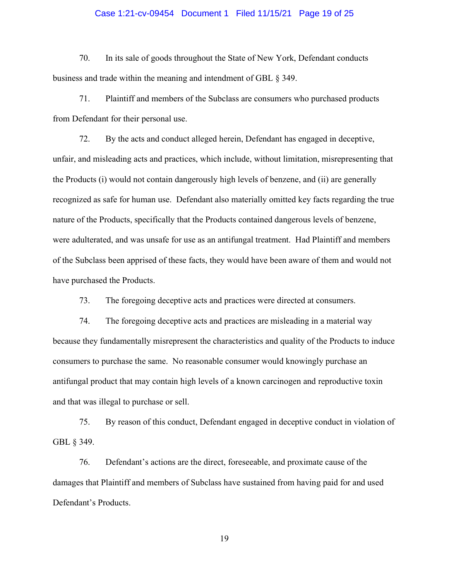#### Case 1:21-cv-09454 Document 1 Filed 11/15/21 Page 19 of 25

70. In its sale of goods throughout the State of New York, Defendant conducts business and trade within the meaning and intendment of GBL § 349.

71. Plaintiff and members of the Subclass are consumers who purchased products from Defendant for their personal use.

72. By the acts and conduct alleged herein, Defendant has engaged in deceptive, unfair, and misleading acts and practices, which include, without limitation, misrepresenting that the Products (i) would not contain dangerously high levels of benzene, and (ii) are generally recognized as safe for human use. Defendant also materially omitted key facts regarding the true nature of the Products, specifically that the Products contained dangerous levels of benzene, were adulterated, and was unsafe for use as an antifungal treatment. Had Plaintiff and members of the Subclass been apprised of these facts, they would have been aware of them and would not have purchased the Products.

73. The foregoing deceptive acts and practices were directed at consumers.

 $74.$ The foregoing deceptive acts and practices are misleading in a material way because they fundamentally misrepresent the characteristics and quality of the Products to induce consumers to purchase the same. No reasonable consumer would knowingly purchase an antifungal product that may contain high levels of a known carcinogen and reproductive toxin and that was illegal to purchase or sell.

75. By reason of this conduct, Defendant engaged in deceptive conduct in violation of GBL § 349.

76. Defendant's actions are the direct, foreseeable, and proximate cause of the damages that Plaintiff and members of Subclass have sustained from having paid for and used Defendant's Products.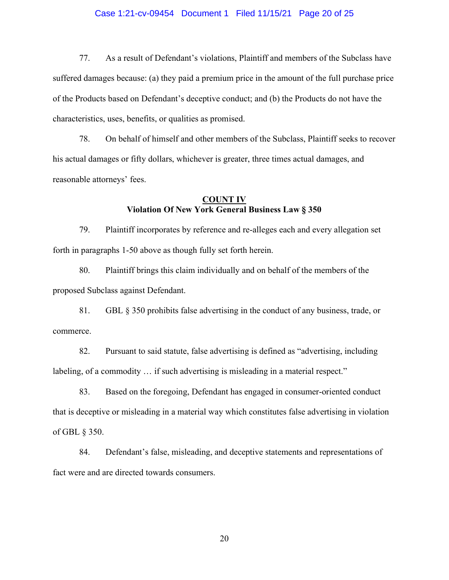#### Case 1:21-cv-09454 Document 1 Filed 11/15/21 Page 20 of 25

77. As a result of Defendant's violations, Plaintiff and members of the Subclass have suffered damages because: (a) they paid a premium price in the amount of the full purchase price of the Products based on Defendant's deceptive conduct; and (b) the Products do not have the characteristics, uses, benefits, or qualities as promised.

78. On behalf of himself and other members of the Subclass, Plaintiff seeks to recover his actual damages or fifty dollars, whichever is greater, three times actual damages, and reasonable attorneys' fees.

## **COUNT IV Violation Of New York General Business Law § 350**

79. Plaintiff incorporates by reference and re-alleges each and every allegation set forth in paragraphs 1-50 above as though fully set forth herein.

80. Plaintiff brings this claim individually and on behalf of the members of the proposed Subclass against Defendant.

81. GBL  $\S$  350 prohibits false advertising in the conduct of any business, trade, or commerce.

82. Pursuant to said statute, false advertising is defined as "advertising, including labeling, of a commodity ... if such advertising is misleading in a material respect."

83. Based on the foregoing, Defendant has engaged in consumer-oriented conduct that is deceptive or misleading in a material way which constitutes false advertising in violation of GBL § 350.

84. Defendant's false, misleading, and deceptive statements and representations of fact were and are directed towards consumers.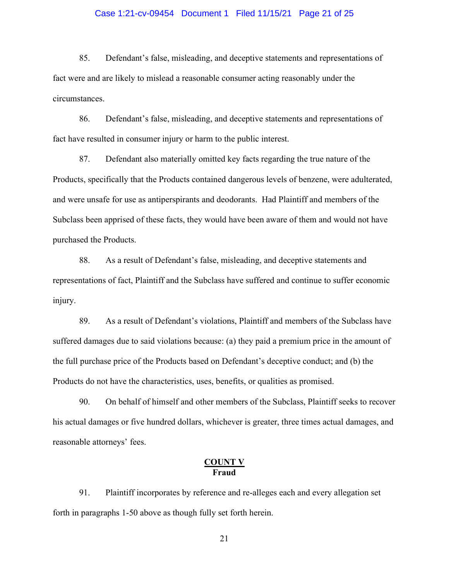#### Case 1:21-cv-09454 Document 1 Filed 11/15/21 Page 21 of 25

85. Defendant's false, misleading, and deceptive statements and representations of fact were and are likely to mislead a reasonable consumer acting reasonably under the circumstances.

86. Defendant's false, misleading, and deceptive statements and representations of fact have resulted in consumer injury or harm to the public interest.

87. Defendant also materially omitted key facts regarding the true nature of the Products, specifically that the Products contained dangerous levels of benzene, were adulterated, and were unsafe for use as antiperspirants and deodorants. Had Plaintiff and members of the Subclass been apprised of these facts, they would have been aware of them and would not have purchased the Products.

88. As a result of Defendant's false, misleading, and deceptive statements and representations of fact, Plaintiff and the Subclass have suffered and continue to suffer economic injury.

89. As a result of Defendant's violations, Plaintiff and members of the Subclass have suffered damages due to said violations because: (a) they paid a premium price in the amount of the full purchase price of the Products based on Defendant's deceptive conduct; and (b) the Products do not have the characteristics, uses, benefits, or qualities as promised.

90. On behalf of himself and other members of the Subclass, Plaintiff seeks to recover his actual damages or five hundred dollars, whichever is greater, three times actual damages, and reasonable attorneys' fees.

# **COUNT V**<br>Fraud

91. Plaintiff incorporates by reference and re-alleges each and every allegation set forth in paragraphs 1-50 above as though fully set forth herein.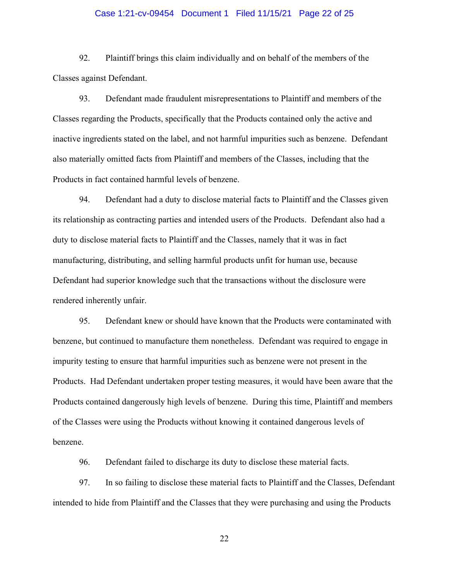#### Case 1:21-cv-09454 Document 1 Filed 11/15/21 Page 22 of 25

92. Plaintiff brings this claim individually and on behalf of the members of the Classes against Defendant.

93. Defendant made fraudulent misrepresentations to Plaintiff and members of the Classes regarding the Products, specifically that the Products contained only the active and inactive ingredients stated on the label, and not harmful impurities such as benzene. Defendant also materially omitted facts from Plaintiff and members of the Classes, including that the Products in fact contained harmful levels of benzene.

94. Defendant had a duty to disclose material facts to Plaintiff and the Classes given its relationship as contracting parties and intended users of the Products. Defendant also had a duty to disclose material facts to Plaintiff and the Classes, namely that it was in fact manufacturing, distributing, and selling harmful products unfit for human use, because Defendant had superior knowledge such that the transactions without the disclosure were rendered inherently unfair.

95. Defendant knew or should have known that the Products were contaminated with benzene, but continued to manufacture them nonetheless. Defendant was required to engage in impurity testing to ensure that harmful impurities such as benzene were not present in the Products. Had Defendant undertaken proper testing measures, it would have been aware that the Products contained dangerously high levels of benzene. During this time, Plaintiff and members of the Classes were using the Products without knowing it contained dangerous levels of benzene.

Defendant failed to discharge its duty to disclose these material facts. 96.

97. In so failing to disclose these material facts to Plaintiff and the Classes, Defendant intended to hide from Plaintiff and the Classes that they were purchasing and using the Products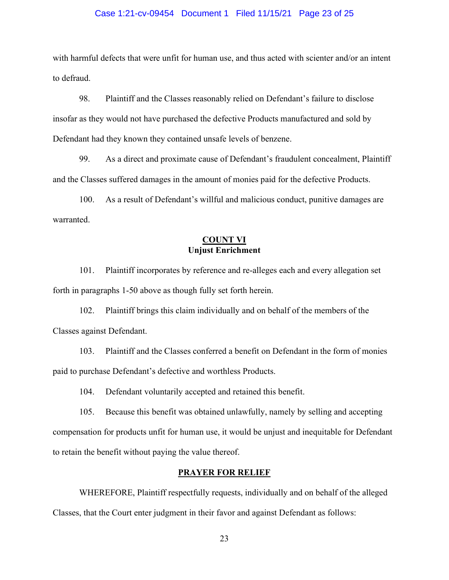#### Case 1:21-cv-09454 Document 1 Filed 11/15/21 Page 23 of 25

with harmful defects that were unfit for human use, and thus acted with scienter and/or an intent to defraud.

98. Plaintiff and the Classes reasonably relied on Defendant's failure to disclose insofar as they would not have purchased the defective Products manufactured and sold by Defendant had they known they contained unsafe levels of benzene.

99. As a direct and proximate cause of Defendant's fraudulent concealment, Plaintiff and the Classes suffered damages in the amount of monies paid for the defective Products.

 $100.$ As a result of Defendant's willful and malicious conduct, punitive damages are warranted.

## **COUNT VI Uniust Enrichment**

Plaintiff incorporates by reference and re-alleges each and every allegation set 101. forth in paragraphs 1-50 above as though fully set forth herein.

102. Plaintiff brings this claim individually and on behalf of the members of the Classes against Defendant.

Plaintiff and the Classes conferred a benefit on Defendant in the form of monies  $103.$ paid to purchase Defendant's defective and worthless Products.

104. Defendant voluntarily accepted and retained this benefit.

105. Because this benefit was obtained unlawfully, namely by selling and accepting compensation for products unfit for human use, it would be unjust and inequitable for Defendant to retain the benefit without paying the value thereof.

## **PRAYER FOR RELIEF**

WHEREFORE, Plaintiff respectfully requests, individually and on behalf of the alleged Classes, that the Court enter judgment in their favor and against Defendant as follows: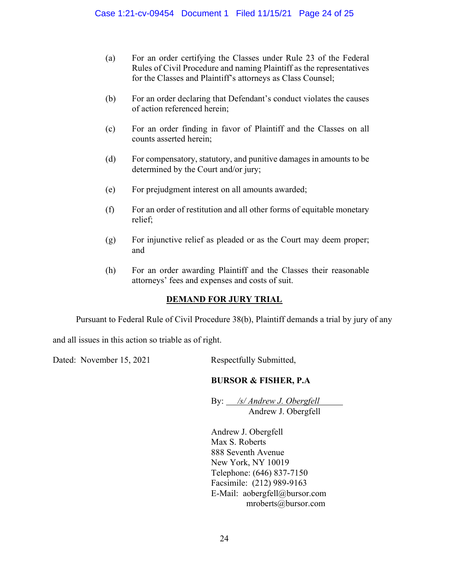- For an order certifying the Classes under Rule 23 of the Federal  $(a)$ Rules of Civil Procedure and naming Plaintiff as the representatives for the Classes and Plaintiff's attorneys as Class Counsel;
- $(b)$ For an order declaring that Defendant's conduct violates the causes of action referenced herein;
- For an order finding in favor of Plaintiff and the Classes on all  $(c)$ counts asserted herein:
- $(d)$ For compensatory, statutory, and punitive damages in amounts to be determined by the Court and/or jury;
- $(e)$ For prejudgment interest on all amounts awarded;
- $(f)$ For an order of restitution and all other forms of equitable monetary relief;
- For injunctive relief as pleaded or as the Court may deem proper;  $(g)$ and
- For an order awarding Plaintiff and the Classes their reasonable (h) attorneys' fees and expenses and costs of suit.

# **DEMAND FOR JURY TRIAL**

Pursuant to Federal Rule of Civil Procedure 38(b), Plaintiff demands a trial by jury of any

and all issues in this action so triable as of right.

Dated: November 15, 2021

Respectfully Submitted,

# **BURSOR & FISHER, P.A.**

By: */s/ Andrew J. Obergfell* Andrew J. Obergfell

Andrew J. Obergfell Max S. Roberts 888 Seventh Avenue New York, NY 10019 Telephone: (646) 837-7150 Facsimile: (212) 989-9163 E-Mail: aobergfell@bursor.com mroberts@bursor.com